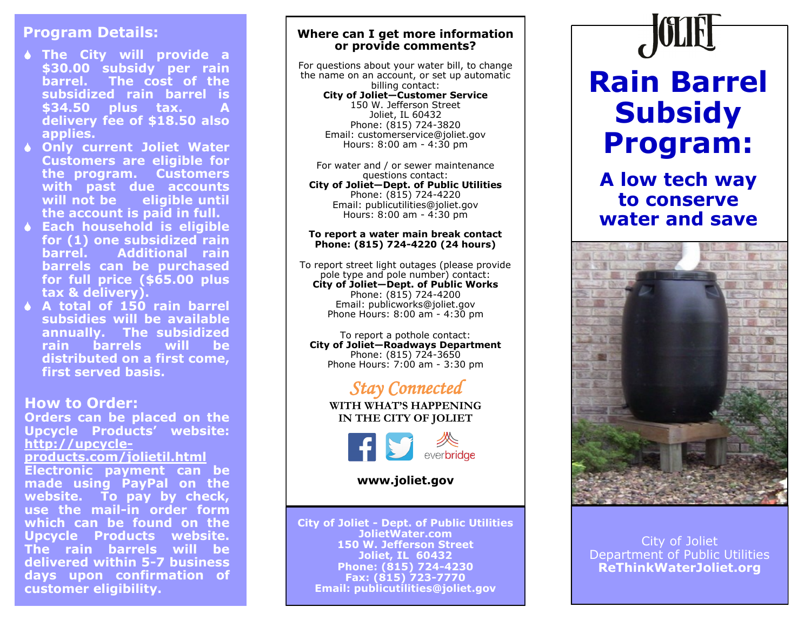# **Program Details:**

- **The City will provide a \$30.00 subsidy per rain barrel. The cost of the subsidized rain barrel is \$34.50 plus tax. A delivery fee of \$18.50 also applies.**
- **Only current Joliet Water Customers are eligible for the program. Customers with past due accounts will not be eligible until the account is paid in full.**
- **Each household is eligible for (1) one subsidized rain barrel. Additional rain barrels can be purchased for full price (\$65.00 plus tax & delivery).**
- **A total of 150 rain barrel subsidies will be available annually. The subsidized rain barrels will be distributed on a first come, first served basis.**

# **How to Order:**

**Orders can be placed on the Upcycle Products' website: http://upcycleproducts.com/jolietil.html Electronic payment can be made using PayPal on the website. To pay by check, use the mail-in order form which can be found on the Upcycle Products website. The rain barrels will be delivered within 5-7 business days upon confirmation of customer eligibility.**

## **Where can I get more information or provide comments?**

For questions about your water bill, to change the name on an account, or set up automatic billing contact: **City of Joliet—Customer Service** 150 W. Jefferson Street Joliet, IL 60432 Phone: (815) 724-3820 Email: customerservice@joliet.gov Hours: 8:00 am - 4:30 pm

For water and / or sewer maintenance questions contact: **City of Joliet—Dept. of Public Utilities** Phone: (815) 724-4220 Email: publicutilities@joliet.gov Hours: 8:00 am - 4:30 pm

#### **To report a water main break contact Phone: (815) 724-4220 (24 hours)**

To report street light outages (please provide pole type and pole number) contact: **City of Joliet—Dept. of Public Works** Phone: (815) 724-4200 Email: publicworks@joliet.gov Phone Hours: 8:00 am - 4:30 pm

To report a pothole contact: **City of Joliet—Roadways Department** Phone: (815) 724-3650 Phone Hours: 7:00 am - 3:30 pm

# *Stay Connected*

**WITH WHAT'S HAPPENING IN THE CITY OF JOLIET**



**www.joliet.gov**

**City of Joliet - Dept. of Public Utilities JolietWater.com 150 W. Jefferson Street Joliet, IL 60432 Phone: (815) 724-4230 Fax: (815) 723-7770 Email: publicutilities@joliet.gov**

# **Rain Barrel Subsidy Program:**

# **A low tech way to conserve water and save**



# City of Joliet Department of Public Utilities **ReThinkWaterJoliet.org**